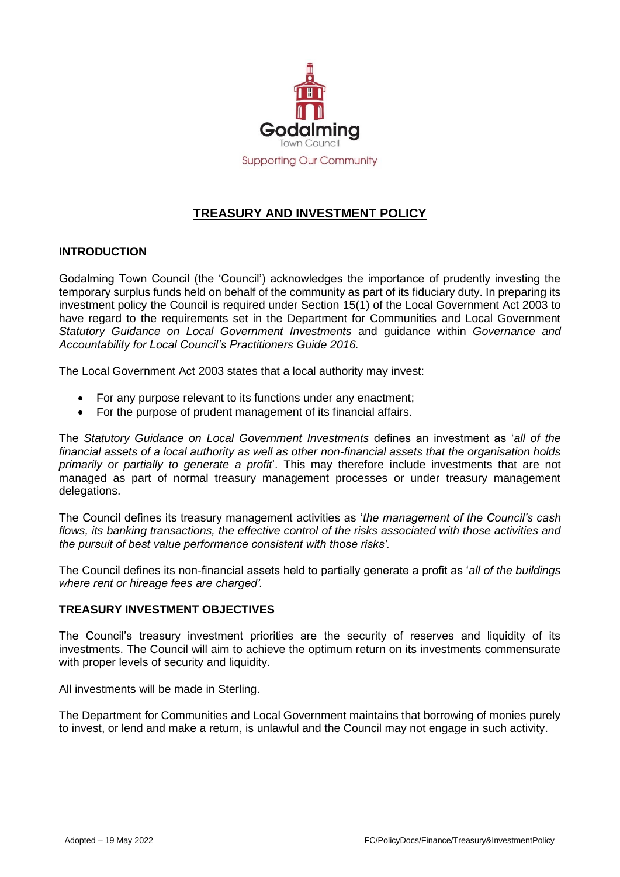

# **TREASURY AND INVESTMENT POLICY**

# **INTRODUCTION**

Godalming Town Council (the 'Council') acknowledges the importance of prudently investing the temporary surplus funds held on behalf of the community as part of its fiduciary duty. In preparing its investment policy the Council is required under Section 15(1) of the Local Government Act 2003 to have regard to the requirements set in the Department for Communities and Local Government *Statutory Guidance on Local Government Investments* and guidance within *Governance and Accountability for Local Council's Practitioners Guide 2016.*

The Local Government Act 2003 states that a local authority may invest:

- For any purpose relevant to its functions under any enactment;
- For the purpose of prudent management of its financial affairs.

The *Statutory Guidance on Local Government Investments* defines an investment as '*all of the financial assets of a local authority as well as other non-financial assets that the organisation holds primarily or partially to generate a profit*'. This may therefore include investments that are not managed as part of normal treasury management processes or under treasury management delegations.

The Council defines its treasury management activities as '*the management of the Council's cash flows, its banking transactions, the effective control of the risks associated with those activities and the pursuit of best value performance consistent with those risks'.*

The Council defines its non-financial assets held to partially generate a profit as '*all of the buildings where rent or hireage fees are charged'.*

## **TREASURY INVESTMENT OBJECTIVES**

The Council's treasury investment priorities are the security of reserves and liquidity of its investments. The Council will aim to achieve the optimum return on its investments commensurate with proper levels of security and liquidity.

All investments will be made in Sterling.

The Department for Communities and Local Government maintains that borrowing of monies purely to invest, or lend and make a return, is unlawful and the Council may not engage in such activity.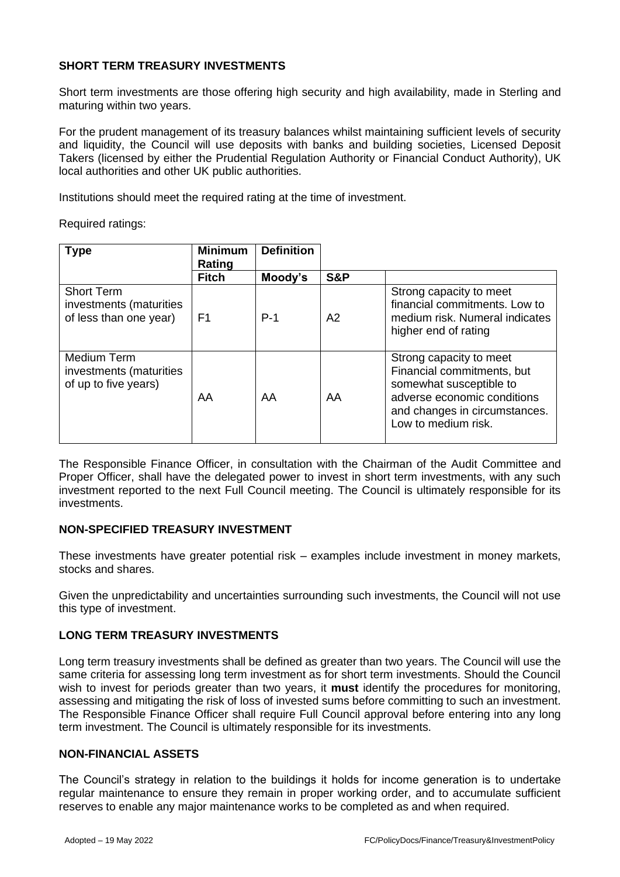## **SHORT TERM TREASURY INVESTMENTS**

Short term investments are those offering high security and high availability, made in Sterling and maturing within two years.

For the prudent management of its treasury balances whilst maintaining sufficient levels of security and liquidity, the Council will use deposits with banks and building societies, Licensed Deposit Takers (licensed by either the Prudential Regulation Authority or Financial Conduct Authority), UK local authorities and other UK public authorities.

Institutions should meet the required rating at the time of investment.

Required ratings:

| <b>Type</b>                                                            | <b>Minimum</b><br>Rating | <b>Definition</b> |     |                                                                                                                                                                         |
|------------------------------------------------------------------------|--------------------------|-------------------|-----|-------------------------------------------------------------------------------------------------------------------------------------------------------------------------|
|                                                                        | <b>Fitch</b>             | Moody's           | S&P |                                                                                                                                                                         |
| <b>Short Term</b><br>investments (maturities<br>of less than one year) | F1                       | $P-1$             | A2  | Strong capacity to meet<br>financial commitments. Low to<br>medium risk. Numeral indicates<br>higher end of rating                                                      |
| Medium Term<br>investments (maturities<br>of up to five years)         | AA                       | AA                | AA  | Strong capacity to meet<br>Financial commitments, but<br>somewhat susceptible to<br>adverse economic conditions<br>and changes in circumstances.<br>Low to medium risk. |

The Responsible Finance Officer, in consultation with the Chairman of the Audit Committee and Proper Officer, shall have the delegated power to invest in short term investments, with any such investment reported to the next Full Council meeting. The Council is ultimately responsible for its investments.

## **NON-SPECIFIED TREASURY INVESTMENT**

These investments have greater potential risk – examples include investment in money markets, stocks and shares.

Given the unpredictability and uncertainties surrounding such investments, the Council will not use this type of investment.

## **LONG TERM TREASURY INVESTMENTS**

Long term treasury investments shall be defined as greater than two years. The Council will use the same criteria for assessing long term investment as for short term investments. Should the Council wish to invest for periods greater than two years, it **must** identify the procedures for monitoring, assessing and mitigating the risk of loss of invested sums before committing to such an investment. The Responsible Finance Officer shall require Full Council approval before entering into any long term investment. The Council is ultimately responsible for its investments.

#### **NON-FINANCIAL ASSETS**

The Council's strategy in relation to the buildings it holds for income generation is to undertake regular maintenance to ensure they remain in proper working order, and to accumulate sufficient reserves to enable any major maintenance works to be completed as and when required.